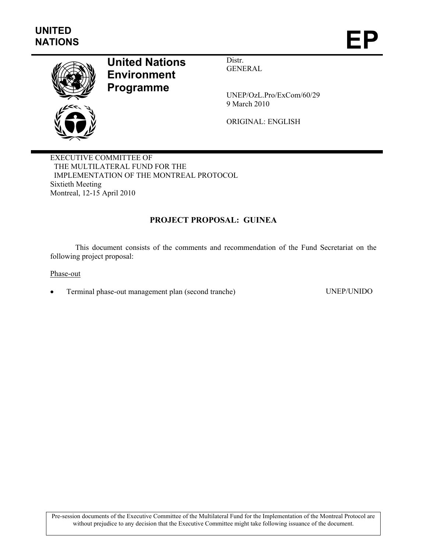

# **United Nations Environment Programme**

Distr. GENERAL

UNEP/OzL.Pro/ExCom/60/29 9 March 2010

ORIGINAL: ENGLISH

EXECUTIVE COMMITTEE OF THE MULTILATERAL FUND FOR THE IMPLEMENTATION OF THE MONTREAL PROTOCOL Sixtieth Meeting Montreal, 12-15 April 2010

## **PROJECT PROPOSAL: GUINEA**

This document consists of the comments and recommendation of the Fund Secretariat on the following project proposal:

Phase-out

• Terminal phase-out management plan (second tranche) UNEP/UNIDO

Pre-session documents of the Executive Committee of the Multilateral Fund for the Implementation of the Montreal Protocol are without prejudice to any decision that the Executive Committee might take following issuance of the document.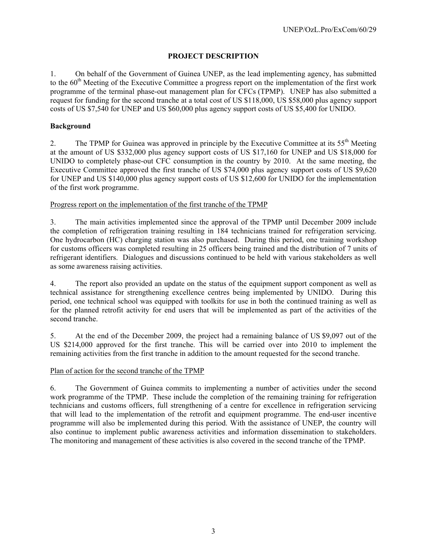## **PROJECT DESCRIPTION**

1. On behalf of the Government of Guinea UNEP, as the lead implementing agency, has submitted to the 60<sup>th</sup> Meeting of the Executive Committee a progress report on the implementation of the first work programme of the terminal phase-out management plan for CFCs (TPMP). UNEP has also submitted a request for funding for the second tranche at a total cost of US \$118,000, US \$58,000 plus agency support costs of US \$7,540 for UNEP and US \$60,000 plus agency support costs of US \$5,400 for UNIDO.

## **Background**

2. The TPMP for Guinea was approved in principle by the Executive Committee at its 55<sup>th</sup> Meeting at the amount of US \$332,000 plus agency support costs of US \$17,160 for UNEP and US \$18,000 for UNIDO to completely phase-out CFC consumption in the country by 2010. At the same meeting, the Executive Committee approved the first tranche of US \$74,000 plus agency support costs of US \$9,620 for UNEP and US \$140,000 plus agency support costs of US \$12,600 for UNIDO for the implementation of the first work programme.

#### Progress report on the implementation of the first tranche of the TPMP

3. The main activities implemented since the approval of the TPMP until December 2009 include the completion of refrigeration training resulting in 184 technicians trained for refrigeration servicing. One hydrocarbon (HC) charging station was also purchased. During this period, one training workshop for customs officers was completed resulting in 25 officers being trained and the distribution of 7 units of refrigerant identifiers. Dialogues and discussions continued to be held with various stakeholders as well as some awareness raising activities.

4. The report also provided an update on the status of the equipment support component as well as technical assistance for strengthening excellence centres being implemented by UNIDO. During this period, one technical school was equipped with toolkits for use in both the continued training as well as for the planned retrofit activity for end users that will be implemented as part of the activities of the second tranche.

5. At the end of the December 2009, the project had a remaining balance of US \$9,097 out of the US \$214,000 approved for the first tranche. This will be carried over into 2010 to implement the remaining activities from the first tranche in addition to the amount requested for the second tranche.

#### Plan of action for the second tranche of the TPMP

6. The Government of Guinea commits to implementing a number of activities under the second work programme of the TPMP. These include the completion of the remaining training for refrigeration technicians and customs officers, full strengthening of a centre for excellence in refrigeration servicing that will lead to the implementation of the retrofit and equipment programme. The end-user incentive programme will also be implemented during this period. With the assistance of UNEP, the country will also continue to implement public awareness activities and information dissemination to stakeholders. The monitoring and management of these activities is also covered in the second tranche of the TPMP.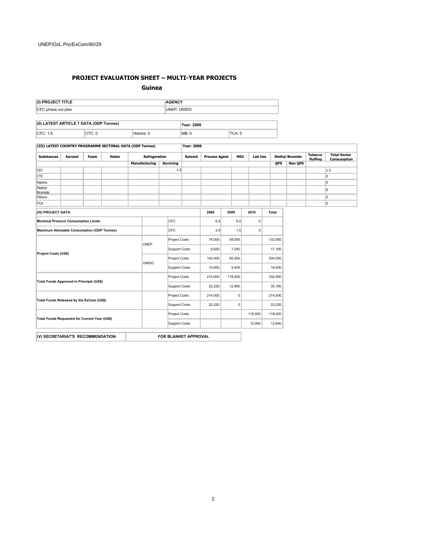#### **PROJECT EVALUATION SHEET – MULTI-YEAR PROJECTS**

**Guinea**

| (I) PROJECT TITLE                       | <b>AGENCY</b>     |
|-----------------------------------------|-------------------|
| CFC phase out plan                      | UNEP. UNIDO       |
|                                         |                   |
| (II) LATEST ARTICLE 7 DATA (ODP Tonnes) | <b>Year: 2008</b> |

| CF <sub>C</sub><br>__ | $\sim$ $\sim$ | ومسادر<br>ainr | MB: | ┰┎╸⋀ |  |  |
|-----------------------|---------------|----------------|-----|------|--|--|
|                       |               |                |     |      |  |  |

**(III) LATEST COUNTRY PROGRAMME SECTORAL DATA (ODP Tonnes) Year: 2008**

| Halon<br>Foam<br><b>Substances</b><br><b>Aerosol</b> |  | Refrigeration |                      | <b>Solvent</b>       | <b>Process Agent</b> |          | <b>MDI</b> | <b>Lab Use</b> |          | <b>Methyl Bromide</b> |         | <b>Total Sector</b><br>Consumption |                |          |     |
|------------------------------------------------------|--|---------------|----------------------|----------------------|----------------------|----------|------------|----------------|----------|-----------------------|---------|------------------------------------|----------------|----------|-----|
|                                                      |  |               |                      | Manufacturing        | <b>Servicing</b>     |          |            |                |          |                       |         | <b>QPS</b>                         | <b>Non OPS</b> | fluffina |     |
| <b>CFC</b>                                           |  |               |                      |                      |                      | 1.5      |            |                |          |                       |         |                                    |                |          | 1.5 |
| <b>CTC</b>                                           |  |               |                      |                      |                      |          |            |                |          |                       |         |                                    |                |          | 0   |
| Halons                                               |  |               |                      |                      |                      |          |            |                |          |                       |         |                                    |                |          | lo. |
| Methyl<br>Bromide                                    |  |               |                      |                      |                      |          |            |                |          |                       |         |                                    |                |          | 0   |
| Others                                               |  |               |                      |                      |                      |          |            |                |          |                       |         |                                    |                |          | O   |
| <b>TCA</b>                                           |  |               |                      |                      |                      |          |            |                |          |                       |         |                                    |                |          | o   |
| (IV) PROJECT DATA                                    |  |               |                      |                      |                      |          |            | 2008           | 2009     |                       | 2010    | Total                              |                |          |     |
| <b>Montreal Protocol Consumption Limits</b>          |  |               |                      |                      | CFC                  |          | 6.4        |                | 6.4      | 0.                    |         |                                    |                |          |     |
| <b>Maximum Allowable Consumption (ODP Tonnes)</b>    |  |               |                      | CFC                  |                      |          | 2.9        |                | 1.5      | 0.                    |         |                                    |                |          |     |
| <b>Project Costs (US\$)</b>                          |  | UNEP          |                      | <b>Project Costs</b> |                      | 74,000.  |            | 58,000.        |          | 132,000.              |         |                                    |                |          |     |
|                                                      |  |               |                      | <b>Support Costs</b> |                      | 9,620.   |            | 7,540.         |          | 17,160.               |         |                                    |                |          |     |
|                                                      |  | UNIDO         |                      | <b>Project Costs</b> |                      | 140,000. |            | 60,000.        |          | 200,000.              |         |                                    |                |          |     |
|                                                      |  |               |                      |                      | <b>Support Costs</b> |          | 12,600.    |                | 5,400.   |                       | 18,000. |                                    |                |          |     |
| Total Funds Approved in Principle (US\$)             |  |               |                      | <b>Project Costs</b> |                      | 214,000. |            | 118,000.       |          | 332,000.              |         |                                    |                |          |     |
|                                                      |  |               | <b>Support Costs</b> |                      |                      | 22,220.  |            | 12,940.        |          | 35,160.               |         |                                    |                |          |     |
| Total Funds Released by the ExCom (US\$)             |  |               |                      | <b>Project Costs</b> |                      | 214,000. |            | 0.             |          | 214,000.              |         |                                    |                |          |     |
|                                                      |  |               |                      | <b>Support Costs</b> |                      | 22,220.  |            | 0.             |          | 22,220.               |         |                                    |                |          |     |
| Total Funds Requested for Current Year (US\$)        |  |               |                      | <b>Project Costs</b> |                      |          |            |                | 118,000. | 118,000.              |         |                                    |                |          |     |
|                                                      |  |               |                      | <b>Support Costs</b> |                      |          |            |                | 12,940.  | 12,940.               |         |                                    |                |          |     |

**(V) SECRETARIAT'S RECOMMENDATION: FOR BLANKET APPROVAL**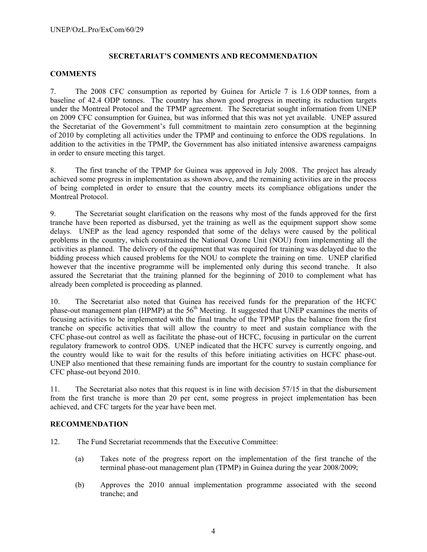## **SECRETARIAT'S COMMENTS AND RECOMMENDATION**

#### **COMMENTS**

7. The 2008 CFC consumption as reported by Guinea for Article 7 is 1.6 ODP tonnes, from a baseline of 42.4 ODP tonnes. The country has shown good progress in meeting its reduction targets under the Montreal Protocol and the TPMP agreement. The Secretariat sought information from UNEP on 2009 CFC consumption for Guinea, but was informed that this was not yet available. UNEP assured the Secretariat of the Government's full commitment to maintain zero consumption at the beginning of 2010 by completing all activities under the TPMP and continuing to enforce the ODS regulations. In addition to the activities in the TPMP, the Government has also initiated intensive awareness campaigns in order to ensure meeting this target.

8. The first tranche of the TPMP for Guinea was approved in July 2008. The project has already achieved some progress in implementation as shown above, and the remaining activities are in the process of being completed in order to ensure that the country meets its compliance obligations under the Montreal Protocol.

9. The Secretariat sought clarification on the reasons why most of the funds approved for the first tranche have been reported as disbursed, yet the training as well as the equipment support show some delays. UNEP as the lead agency responded that some of the delays were caused by the political problems in the country, which constrained the National Ozone Unit (NOU) from implementing all the activities as planned. The delivery of the equipment that was required for training was delayed due to the bidding process which caused problems for the NOU to complete the training on time. UNEP clarified however that the incentive programme will be implemented only during this second tranche. It also assured the Secretariat that the training planned for the beginning of 2010 to complement what has already been completed is proceeding as planned.

10. The Secretariat also noted that Guinea has received funds for the preparation of the HCFC phase-out management plan (HPMP) at the  $56<sup>th</sup>$  Meeting. It suggested that UNEP examines the merits of focusing activities to be implemented with the final tranche of the TPMP plus the balance from the first tranche on specific activities that will allow the country to meet and sustain compliance with the CFC phase-out control as well as facilitate the phase-out of HCFC, focusing in particular on the current regulatory framework to control ODS. UNEP indicated that the HCFC survey is currently ongoing, and the country would like to wait for the results of this before initiating activities on HCFC phase-out. UNEP also mentioned that these remaining funds are important for the country to sustain compliance for CFC phase-out beyond 2010.

11. The Secretariat also notes that this request is in line with decision 57/15 in that the disbursement from the first tranche is more than 20 per cent, some progress in project implementation has been achieved, and CFC targets for the year have been met.

## **RECOMMENDATION**

- 12. The Fund Secretariat recommends that the Executive Committee:
	- (a) Takes note of the progress report on the implementation of the first tranche of the terminal phase-out management plan (TPMP) in Guinea during the year 2008/2009;
	- (b) Approves the 2010 annual implementation programme associated with the second tranche; and